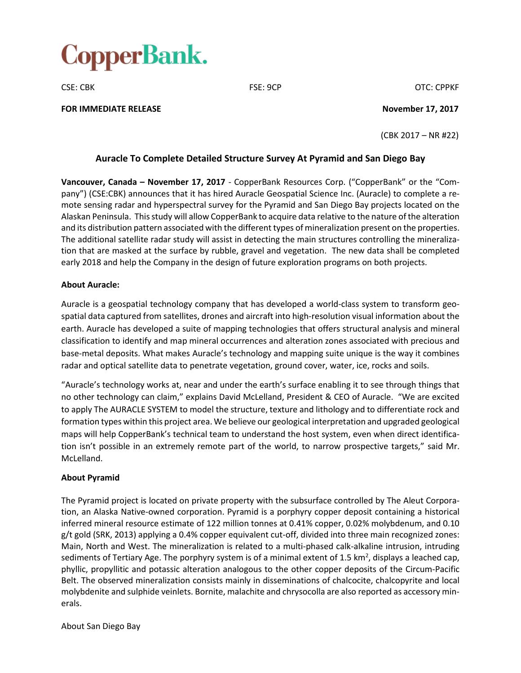

CSE: CBK CSE: OCP CSE: 9CP CSE: CBK

**FOR IMMEDIATE RELEASE November 17, 2017**

(CBK 2017 – NR #22)

## **Auracle To Complete Detailed Structure Survey At Pyramid and San Diego Bay**

**Vancouver, Canada – November 17, 2017** - CopperBank Resources Corp. ("CopperBank" or the "Company") (CSE:CBK) announces that it has hired Auracle Geospatial Science Inc. (Auracle) to complete a remote sensing radar and hyperspectral survey for the Pyramid and San Diego Bay projects located on the Alaskan Peninsula. Thisstudy will allow CopperBank to acquire data relative to the nature ofthe alteration and its distribution pattern associated with the different types of mineralization present on the properties. The additional satellite radar study will assist in detecting the main structures controlling the mineralization that are masked at the surface by rubble, gravel and vegetation. The new data shall be completed early 2018 and help the Company in the design of future exploration programs on both projects.

## **About Auracle:**

Auracle is a geospatial technology company that has developed a world-class system to transform geospatial data captured from satellites, drones and aircraft into high-resolution visual information about the earth. Auracle has developed a suite of mapping technologies that offers structural analysis and mineral classification to identify and map mineral occurrences and alteration zones associated with precious and base-metal deposits. What makes Auracle's technology and mapping suite unique is the way it combines radar and optical satellite data to penetrate vegetation, ground cover, water, ice, rocks and soils.

"Auracle's technology works at, near and under the earth's surface enabling it to see through things that no other technology can claim," explains David McLelland, President & CEO of Auracle. "We are excited to apply The AURACLE SYSTEM to model the structure, texture and lithology and to differentiate rock and formation types within this project area. We believe our geological interpretation and upgraded geological maps will help CopperBank's technical team to understand the host system, even when direct identification isn't possible in an extremely remote part of the world, to narrow prospective targets," said Mr. McLelland.

## **About Pyramid**

The Pyramid project is located on private property with the subsurface controlled by The Aleut Corporation, an Alaska Native-owned corporation. Pyramid is a porphyry copper deposit containing a historical inferred mineral resource estimate of 122 million tonnes at 0.41% copper, 0.02% molybdenum, and 0.10 g/t gold (SRK, 2013) applying a 0.4% copper equivalent cut-off, divided into three main recognized zones: Main, North and West. The mineralization is related to a multi-phased calk-alkaline intrusion, intruding sediments of Tertiary Age. The porphyry system is of a minimal extent of 1.5 km<sup>2</sup>, displays a leached cap, phyllic, propyllitic and potassic alteration analogous to the other copper deposits of the Circum-Pacific Belt. The observed mineralization consists mainly in disseminations of chalcocite, chalcopyrite and local molybdenite and sulphide veinlets. Bornite, malachite and chrysocolla are also reported as accessory minerals.

About San Diego Bay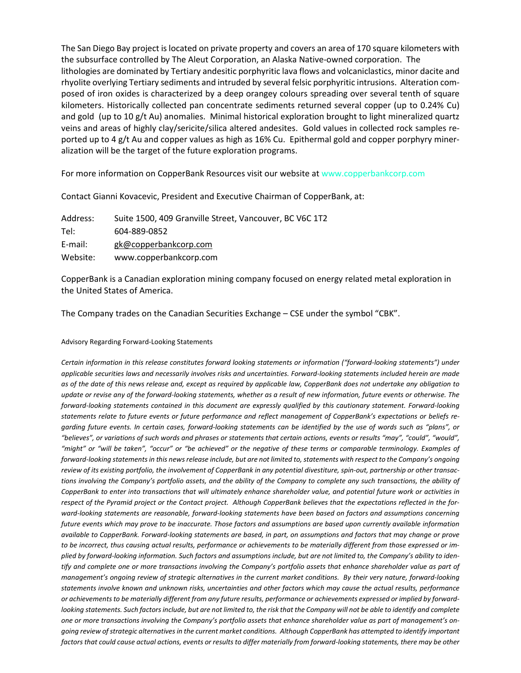The San Diego Bay project is located on private property and covers an area of 170 square kilometers with the subsurface controlled by The Aleut Corporation, an Alaska Native-owned corporation. The lithologies are dominated by Tertiary andesitic porphyritic lava flows and volcaniclastics, minor dacite and rhyolite overlying Tertiary sediments and intruded by several felsic porphyritic intrusions. Alteration composed of iron oxides is characterized by a deep orangey colours spreading over several tenth of square kilometers. Historically collected pan concentrate sediments returned several copper (up to 0.24% Cu) and gold (up to 10 g/t Au) anomalies. Minimal historical exploration brought to light mineralized quartz veins and areas of highly clay/sericite/silica altered andesites. Gold values in collected rock samples reported up to 4 g/t Au and copper values as high as 16% Cu. Epithermal gold and copper porphyry mineralization will be the target of the future exploration programs.

For more information on CopperBank Resources visit our website at www.copperbankcorp.com

Contact Gianni Kovacevic, President and Executive Chairman of CopperBank, at:

| Suite 1500, 409 Granville Street, Vancouver, BC V6C 1T2 |
|---------------------------------------------------------|
| 604-889-0852                                            |
| gk@copperbankcorp.com                                   |
| www.copperbankcorp.com                                  |
|                                                         |

CopperBank is a Canadian exploration mining company focused on energy related metal exploration in the United States of America.

The Company trades on the Canadian Securities Exchange – CSE under the symbol "CBK".

## Advisory Regarding Forward-Looking Statements

Certain information in this release constitutes forward looking statements or information ("forward-looking statements") under applicable securities laws and necessarily involves risks and uncertainties. Forward-looking statements included herein are made as of the date of this news release and, except as required by applicable law, CopperBank does not undertake any obligation to update or revise any of the forward-looking statements, whether as a result of new information, future events or otherwise. The *forward-looking statements contained in this document are expressly qualified by this cautionary statement. Forward-looking* statements relate to future events or future performance and reflect management of CopperBank's expectations or beliefs regarding future events. In certain cases, forward-looking statements can be identified by the use of words such as "plans", or "believes", or variations of such words and phrases or statements that certain actions, events or results "may", "could", "would", "might" or "will be taken", "occur" or "be achieved" or the negative of these terms or comparable terminology. Examples of forward-looking statements in this news release include, but are not limited to, statements with respect to the Company's ongoing review of its existing portfolio, the involvement of CopperBank in any potential divestiture, spin-out, partnership or other transactions involving the Company's portfolio assets, and the ability of the Company to complete any such transactions, the ability of CopperBank to enter into transactions that will ultimately enhance shareholder value, and potential future work or activities in respect of the Pyramid project or the Contact project. Although CopperBank believes that the expectations reflected in the for*ward-looking statements are reasonable, forward-looking statements have been based on factors and assumptions concerning* future events which may prove to be inaccurate. Those factors and assumptions are based upon currently available information available to CopperBank. Forward-looking statements are based, in part, on assumptions and factors that may change or prove to be incorrect, thus causing actual results, performance or achievements to be materially different from those expressed or implied by forward-looking information. Such factors and assumptions include, but are not limited to, the Company's ability to identify and complete one or more transactions involving the Company's portfolio assets that enhance shareholder value as part of management's ongoing review of strategic alternatives in the current market conditions. By their very nature, forward-looking statements involve known and unknown risks, uncertainties and other factors which may cause the actual results, performance or achievements to be materially different from any future results, performance or achievements expressed or implied by forwardlooking statements. Such factors include, but are not limited to, the risk that the Company will not be able to identify and complete one or more transactions involving the Company's portfolio assets that enhance shareholder value as part of management's on*going review ofstrategic alternativesin the current market conditions. Although CopperBank has attempted to identify important* factors that could cause actual actions, events or results to differ materially from forward-looking statements, there may be other